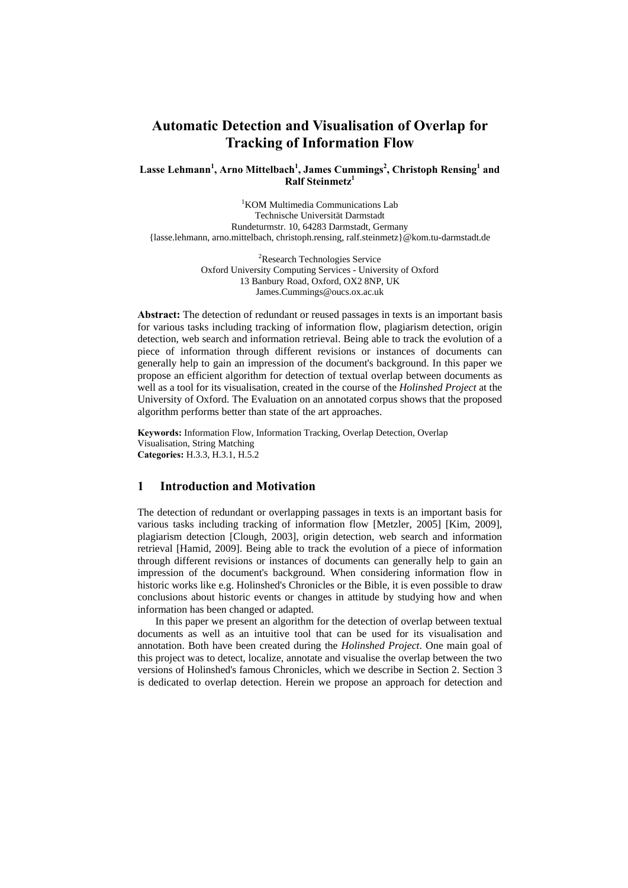# **Automatic Detection and Visualisation of Overlap for Tracking of Information Flow**

## Lasse Lehmann<sup>1</sup>, Arno Mittelbach<sup>1</sup>, James Cummings<sup>2</sup>, Christoph Rensing<sup>1</sup> and **Ralf Steinmetz1**

<sup>1</sup>KOM Multimedia Communications Lab Technische Universität Darmstadt Rundeturmstr. 10, 64283 Darmstadt, Germany {lasse.lehmann, arno.mittelbach, christoph.rensing, ralf.steinmetz}@kom.tu-darmstadt.de

> <sup>2</sup>Research Technologies Service Oxford University Computing Services - University of Oxford 13 Banbury Road, Oxford, OX2 8NP, UK James.Cummings@oucs.ox.ac.uk

**Abstract:** The detection of redundant or reused passages in texts is an important basis for various tasks including tracking of information flow, plagiarism detection, origin detection, web search and information retrieval. Being able to track the evolution of a piece of information through different revisions or instances of documents can generally help to gain an impression of the document's background. In this paper we propose an efficient algorithm for detection of textual overlap between documents as well as a tool for its visualisation, created in the course of the *Holinshed Project* at the University of Oxford. The Evaluation on an annotated corpus shows that the proposed algorithm performs better than state of the art approaches.

**Keywords:** Information Flow, Information Tracking, Overlap Detection, Overlap Visualisation, String Matching **Categories:** H.3.3, H.3.1, H.5.2

# **1 Introduction and Motivation**

The detection of redundant or overlapping passages in texts is an important basis for various tasks including tracking of information flow [Metzler, 2005] [Kim, 2009], plagiarism detection [Clough, 2003], origin detection, web search and information retrieval [Hamid, 2009]. Being able to track the evolution of a piece of information through different revisions or instances of documents can generally help to gain an impression of the document's background. When considering information flow in historic works like e.g. Holinshed's Chronicles or the Bible, it is even possible to draw conclusions about historic events or changes in attitude by studying how and when information has been changed or adapted.

In this paper we present an algorithm for the detection of overlap between textual documents as well as an intuitive tool that can be used for its visualisation and annotation. Both have been created during the *Holinshed Project*. One main goal of this project was to detect, localize, annotate and visualise the overlap between the two versions of Holinshed's famous Chronicles, which we describe in Section 2. Section 3 is dedicated to overlap detection. Herein we propose an approach for detection and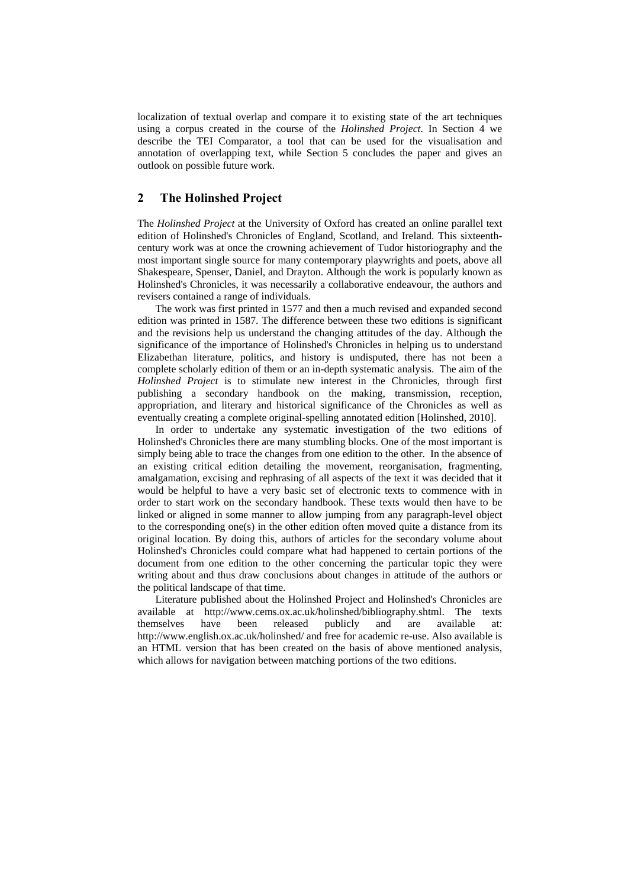localization of textual overlap and compare it to existing state of the art techniques using a corpus created in the course of the *Holinshed Project*. In Section 4 we describe the TEI Comparator, a tool that can be used for the visualisation and annotation of overlapping text, while Section 5 concludes the paper and gives an outlook on possible future work.

# **2 The Holinshed Project**

The *Holinshed Project* at the University of Oxford has created an online parallel text edition of Holinshed's Chronicles of England, Scotland, and Ireland. This sixteenthcentury work was at once the crowning achievement of Tudor historiography and the most important single source for many contemporary playwrights and poets, above all Shakespeare, Spenser, Daniel, and Drayton. Although the work is popularly known as Holinshed's Chronicles, it was necessarily a collaborative endeavour, the authors and revisers contained a range of individuals.

The work was first printed in 1577 and then a much revised and expanded second edition was printed in 1587. The difference between these two editions is significant and the revisions help us understand the changing attitudes of the day. Although the significance of the importance of Holinshed's Chronicles in helping us to understand Elizabethan literature, politics, and history is undisputed, there has not been a complete scholarly edition of them or an in-depth systematic analysis. The aim of the *Holinshed Project* is to stimulate new interest in the Chronicles, through first publishing a secondary handbook on the making, transmission, reception, appropriation, and literary and historical significance of the Chronicles as well as eventually creating a complete original-spelling annotated edition [Holinshed, 2010].

In order to undertake any systematic investigation of the two editions of Holinshed's Chronicles there are many stumbling blocks. One of the most important is simply being able to trace the changes from one edition to the other. In the absence of an existing critical edition detailing the movement, reorganisation, fragmenting, amalgamation, excising and rephrasing of all aspects of the text it was decided that it would be helpful to have a very basic set of electronic texts to commence with in order to start work on the secondary handbook. These texts would then have to be linked or aligned in some manner to allow jumping from any paragraph-level object to the corresponding one(s) in the other edition often moved quite a distance from its original location. By doing this, authors of articles for the secondary volume about Holinshed's Chronicles could compare what had happened to certain portions of the document from one edition to the other concerning the particular topic they were writing about and thus draw conclusions about changes in attitude of the authors or the political landscape of that time.

Literature published about the Holinshed Project and Holinshed's Chronicles are available at http://www.cems.ox.ac.uk/holinshed/bibliography.shtml. The texts themselves have been released publicly and are available at: http://www.english.ox.ac.uk/holinshed/ and free for academic re-use. Also available is an HTML version that has been created on the basis of above mentioned analysis, which allows for navigation between matching portions of the two editions.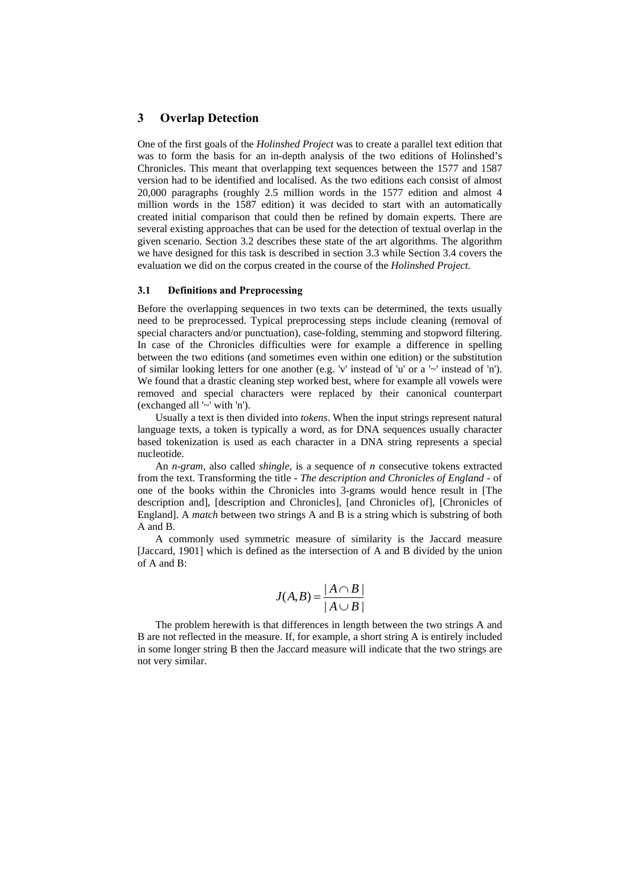### **3 Overlap Detection**

One of the first goals of the *Holinshed Project* was to create a parallel text edition that was to form the basis for an in-depth analysis of the two editions of Holinshed's Chronicles. This meant that overlapping text sequences between the 1577 and 1587 version had to be identified and localised. As the two editions each consist of almost 20,000 paragraphs (roughly 2.5 million words in the 1577 edition and almost 4 million words in the 1587 edition) it was decided to start with an automatically created initial comparison that could then be refined by domain experts. There are several existing approaches that can be used for the detection of textual overlap in the given scenario. Section 3.2 describes these state of the art algorithms. The algorithm we have designed for this task is described in section 3.3 while Section 3.4 covers the evaluation we did on the corpus created in the course of the *Holinshed Project*.

#### **3.1 Definitions and Preprocessing**

Before the overlapping sequences in two texts can be determined, the texts usually need to be preprocessed. Typical preprocessing steps include cleaning (removal of special characters and/or punctuation), case-folding, stemming and stopword filtering. In case of the Chronicles difficulties were for example a difference in spelling between the two editions (and sometimes even within one edition) or the substitution of similar looking letters for one another (e.g. 'v' instead of 'u' or a '~' instead of 'n'). We found that a drastic cleaning step worked best, where for example all vowels were removed and special characters were replaced by their canonical counterpart (exchanged all '~' with 'n').

Usually a text is then divided into *tokens*. When the input strings represent natural language texts, a token is typically a word, as for DNA sequences usually character based tokenization is used as each character in a DNA string represents a special nucleotide.

An *n-gram*, also called *shingle*, is a sequence of *n* consecutive tokens extracted from the text. Transforming the title - *The description and Chronicles of England* - of one of the books within the Chronicles into 3-grams would hence result in [The description and], [description and Chronicles], [and Chronicles of], [Chronicles of England]. A *match* between two strings A and B is a string which is substring of both A and B.

A commonly used symmetric measure of similarity is the Jaccard measure [Jaccard, 1901] which is defined as the intersection of A and B divided by the union of A and B:

$$
J(A,B) = \frac{|A \cap B|}{|A \cup B|}
$$

The problem herewith is that differences in length between the two strings A and B are not reflected in the measure. If, for example, a short string A is entirely included in some longer string B then the Jaccard measure will indicate that the two strings are not very similar.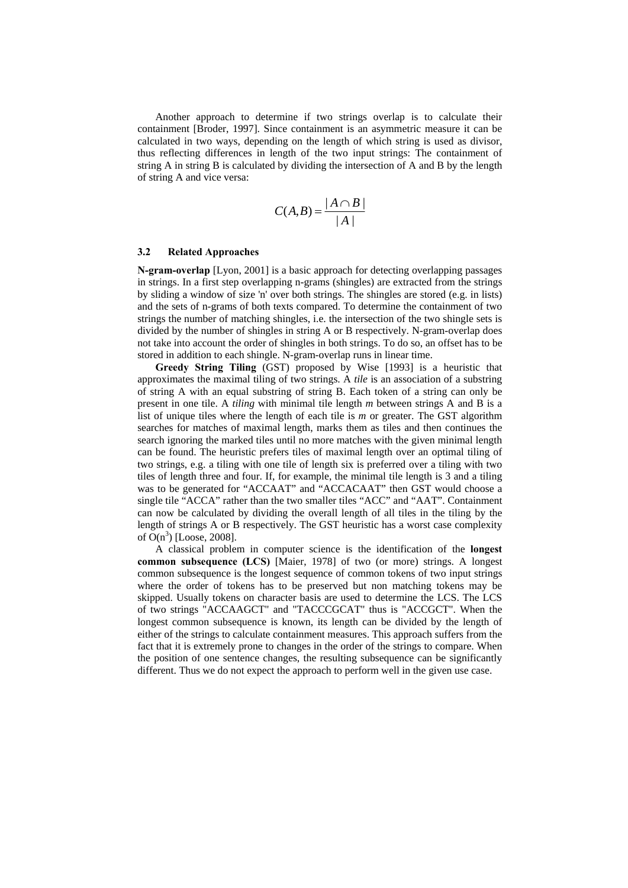Another approach to determine if two strings overlap is to calculate their containment [Broder, 1997]. Since containment is an asymmetric measure it can be calculated in two ways, depending on the length of which string is used as divisor, thus reflecting differences in length of the two input strings: The containment of string A in string B is calculated by dividing the intersection of A and B by the length of string A and vice versa:

$$
C(A,B) = \frac{|A \cap B|}{|A|}
$$

#### **3.2 Related Approaches**

**N-gram-overlap** [Lyon, 2001] is a basic approach for detecting overlapping passages in strings. In a first step overlapping n-grams (shingles) are extracted from the strings by sliding a window of size 'n' over both strings. The shingles are stored (e.g. in lists) and the sets of n-grams of both texts compared. To determine the containment of two strings the number of matching shingles, i.e. the intersection of the two shingle sets is divided by the number of shingles in string A or B respectively. N-gram-overlap does not take into account the order of shingles in both strings. To do so, an offset has to be stored in addition to each shingle. N-gram-overlap runs in linear time.

**Greedy String Tiling** (GST) proposed by Wise [1993] is a heuristic that approximates the maximal tiling of two strings. A *tile* is an association of a substring of string A with an equal substring of string B. Each token of a string can only be present in one tile. A *tiling* with minimal tile length *m* between strings A and B is a list of unique tiles where the length of each tile is *m* or greater. The GST algorithm searches for matches of maximal length, marks them as tiles and then continues the search ignoring the marked tiles until no more matches with the given minimal length can be found. The heuristic prefers tiles of maximal length over an optimal tiling of two strings, e.g. a tiling with one tile of length six is preferred over a tiling with two tiles of length three and four. If, for example, the minimal tile length is 3 and a tiling was to be generated for "ACCAAT" and "ACCACAAT" then GST would choose a single tile "ACCA" rather than the two smaller tiles "ACC" and "AAT". Containment can now be calculated by dividing the overall length of all tiles in the tiling by the length of strings A or B respectively. The GST heuristic has a worst case complexity of  $O(n^3)$  [Loose, 2008].

A classical problem in computer science is the identification of the **longest common subsequence (LCS)** [Maier, 1978] of two (or more) strings. A longest common subsequence is the longest sequence of common tokens of two input strings where the order of tokens has to be preserved but non matching tokens may be skipped. Usually tokens on character basis are used to determine the LCS. The LCS of two strings "ACCAAGCT" and "TACCCGCAT" thus is "ACCGCT". When the longest common subsequence is known, its length can be divided by the length of either of the strings to calculate containment measures. This approach suffers from the fact that it is extremely prone to changes in the order of the strings to compare. When the position of one sentence changes, the resulting subsequence can be significantly different. Thus we do not expect the approach to perform well in the given use case.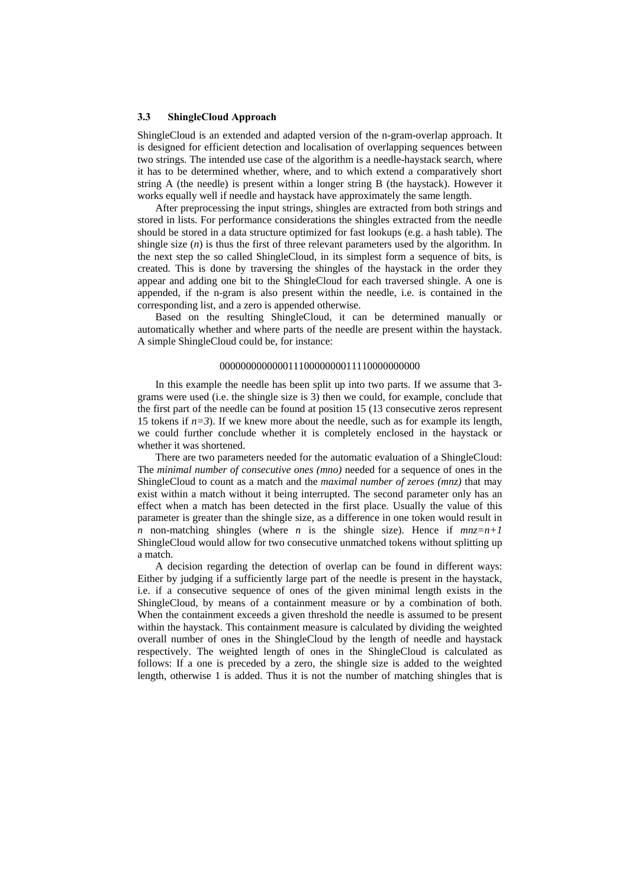#### **3.3 ShingleCloud Approach**

ShingleCloud is an extended and adapted version of the n-gram-overlap approach. It is designed for efficient detection and localisation of overlapping sequences between two strings. The intended use case of the algorithm is a needle-haystack search, where it has to be determined whether, where, and to which extend a comparatively short string A (the needle) is present within a longer string B (the haystack). However it works equally well if needle and haystack have approximately the same length.

After preprocessing the input strings, shingles are extracted from both strings and stored in lists. For performance considerations the shingles extracted from the needle should be stored in a data structure optimized for fast lookups (e.g. a hash table). The shingle size (*n*) is thus the first of three relevant parameters used by the algorithm. In the next step the so called ShingleCloud, in its simplest form a sequence of bits, is created. This is done by traversing the shingles of the haystack in the order they appear and adding one bit to the ShingleCloud for each traversed shingle. A one is appended, if the n-gram is also present within the needle, i.e. is contained in the corresponding list, and a zero is appended otherwise.

Based on the resulting ShingleCloud, it can be determined manually or automatically whether and where parts of the needle are present within the haystack. A simple ShingleCloud could be, for instance:

#### 00000000000001110000000011110000000000

In this example the needle has been split up into two parts. If we assume that 3 grams were used (i.e. the shingle size is 3) then we could, for example, conclude that the first part of the needle can be found at position 15 (13 consecutive zeros represent 15 tokens if  $n=3$ ). If we knew more about the needle, such as for example its length, we could further conclude whether it is completely enclosed in the haystack or whether it was shortened.

There are two parameters needed for the automatic evaluation of a ShingleCloud: The *minimal number of consecutive ones (mno)* needed for a sequence of ones in the ShingleCloud to count as a match and the *maximal number of zeroes (mnz)* that may exist within a match without it being interrupted. The second parameter only has an effect when a match has been detected in the first place. Usually the value of this parameter is greater than the shingle size, as a difference in one token would result in *n* non-matching shingles (where *n* is the shingle size). Hence if  $mnz=n+1$ ShingleCloud would allow for two consecutive unmatched tokens without splitting up a match.

A decision regarding the detection of overlap can be found in different ways: Either by judging if a sufficiently large part of the needle is present in the haystack, i.e. if a consecutive sequence of ones of the given minimal length exists in the ShingleCloud, by means of a containment measure or by a combination of both. When the containment exceeds a given threshold the needle is assumed to be present within the haystack. This containment measure is calculated by dividing the weighted overall number of ones in the ShingleCloud by the length of needle and haystack respectively. The weighted length of ones in the ShingleCloud is calculated as follows: If a one is preceded by a zero, the shingle size is added to the weighted length, otherwise 1 is added. Thus it is not the number of matching shingles that is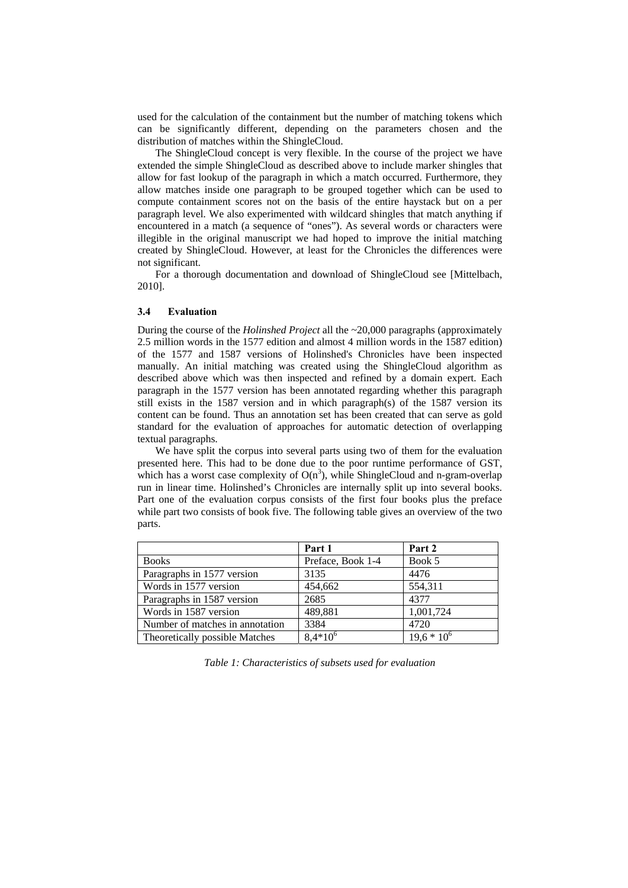used for the calculation of the containment but the number of matching tokens which can be significantly different, depending on the parameters chosen and the distribution of matches within the ShingleCloud.

The ShingleCloud concept is very flexible. In the course of the project we have extended the simple ShingleCloud as described above to include marker shingles that allow for fast lookup of the paragraph in which a match occurred. Furthermore, they allow matches inside one paragraph to be grouped together which can be used to compute containment scores not on the basis of the entire haystack but on a per paragraph level. We also experimented with wildcard shingles that match anything if encountered in a match (a sequence of "ones"). As several words or characters were illegible in the original manuscript we had hoped to improve the initial matching created by ShingleCloud. However, at least for the Chronicles the differences were not significant.

For a thorough documentation and download of ShingleCloud see [Mittelbach, 2010].

#### **3.4 Evaluation**

During the course of the *Holinshed Project* all the ~20,000 paragraphs (approximately 2.5 million words in the 1577 edition and almost 4 million words in the 1587 edition) of the 1577 and 1587 versions of Holinshed's Chronicles have been inspected manually. An initial matching was created using the ShingleCloud algorithm as described above which was then inspected and refined by a domain expert. Each paragraph in the 1577 version has been annotated regarding whether this paragraph still exists in the 1587 version and in which paragraph(s) of the 1587 version its content can be found. Thus an annotation set has been created that can serve as gold standard for the evaluation of approaches for automatic detection of overlapping textual paragraphs.

We have split the corpus into several parts using two of them for the evaluation presented here. This had to be done due to the poor runtime performance of GST, which has a worst case complexity of  $O(n^3)$ , while ShingleCloud and n-gram-overlap run in linear time. Holinshed's Chronicles are internally split up into several books. Part one of the evaluation corpus consists of the first four books plus the preface while part two consists of book five. The following table gives an overview of the two parts.

|                                 | Part 1            | Part 2        |
|---------------------------------|-------------------|---------------|
| <b>Books</b>                    | Preface, Book 1-4 | Book 5        |
| Paragraphs in 1577 version      | 3135              | 4476          |
| Words in 1577 version           | 454,662           | 554,311       |
| Paragraphs in 1587 version      | 2685              | 4377          |
| Words in 1587 version           | 489,881           | 1,001,724     |
| Number of matches in annotation | 3384              | 4720          |
| Theoretically possible Matches  | $8.4*10^{6}$      | $19.6 * 10^6$ |

*Table 1: Characteristics of subsets used for evaluation*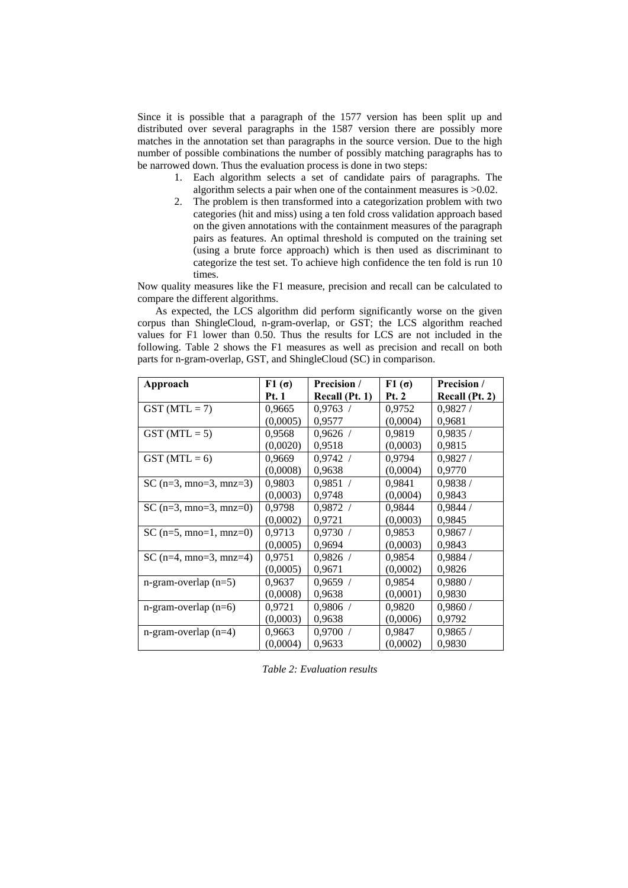Since it is possible that a paragraph of the 1577 version has been split up and distributed over several paragraphs in the 1587 version there are possibly more matches in the annotation set than paragraphs in the source version. Due to the high number of possible combinations the number of possibly matching paragraphs has to be narrowed down. Thus the evaluation process is done in two steps:

- 1. Each algorithm selects a set of candidate pairs of paragraphs. The algorithm selects a pair when one of the containment measures is >0.02.
- 2. The problem is then transformed into a categorization problem with two categories (hit and miss) using a ten fold cross validation approach based on the given annotations with the containment measures of the paragraph pairs as features. An optimal threshold is computed on the training set (using a brute force approach) which is then used as discriminant to categorize the test set. To achieve high confidence the ten fold is run 10 times.

Now quality measures like the F1 measure, precision and recall can be calculated to compare the different algorithms.

As expected, the LCS algorithm did perform significantly worse on the given corpus than ShingleCloud, n-gram-overlap, or GST; the LCS algorithm reached values for F1 lower than 0.50. Thus the results for LCS are not included in the following. Table 2 shows the F1 measures as well as precision and recall on both parts for n-gram-overlap, GST, and ShingleCloud (SC) in comparison.

| Approach                         | F1 $(σ)$     | Precision /    | $F1(\sigma)$ | Precision /    |
|----------------------------------|--------------|----------------|--------------|----------------|
|                                  | <b>Pt.</b> 1 | Recall (Pt. 1) | <b>Pt. 2</b> | Recall (Pt. 2) |
| $GST(MTL = 7)$                   | 0,9665       | 0.9763 /       | 0,9752       | 0.9827/        |
|                                  | (0,0005)     | 0,9577         | (0,0004)     | 0,9681         |
| $GST(MTL = 5)$                   | 0.9568       | 0.9626 /       | 0.9819       | 0.9835/        |
|                                  | (0,0020)     | 0.9518         | (0,0003)     | 0.9815         |
| $GST(MTL = 6)$                   | 0,9669       | 0.9742 /       | 0,9794       | 0,9827/        |
|                                  | (0,0008)     | 0.9638         | (0,0004)     | 0,9770         |
| SC ( $n=3$ , mno=3, mnz=3)       | 0,9803       | 0.9851 /       | 0,9841       | 0.9838/        |
|                                  | (0,0003)     | 0,9748         | (0,0004)     | 0,9843         |
| SC ( $n=3$ , mno=3, mnz=0)       | 0,9798       | 0,9872/        | 0,9844       | 0,9844/        |
|                                  | (0,0002)     | 0,9721         | (0,0003)     | 0.9845         |
| $SC(n=5, mno=1, mnz=0)$          | 0,9713       | 0.9730 /       | 0,9853       | 0,9867/        |
|                                  | (0,0005)     | 0,9694         | (0,0003)     | 0,9843         |
| SC ( $n=4$ , $mno=3$ , $mnz=4$ ) | 0,9751       | 0,9826/        | 0,9854       | 0.9884/        |
|                                  | (0,0005)     | 0,9671         | (0,0002)     | 0,9826         |
| $n-gram-overlap (n=5)$           | 0,9637       | 0.9659 /       | 0,9854       | 0.9880/        |
|                                  | (0,0008)     | 0.9638         | (0,0001)     | 0.9830         |
| $n-gram-overlap (n=6)$           | 0,9721       | $0,9806$ /     | 0,9820       | 0,9860/        |
|                                  | (0,0003)     | 0.9638         | (0,0006)     | 0,9792         |
| $n$ -gram-overlap ( $n=4$ )      | 0,9663       | 0.9700 /       | 0,9847       | 0.9865/        |
|                                  | (0,0004)     | 0,9633         | (0,0002)     | 0,9830         |

*Table 2: Evaluation results*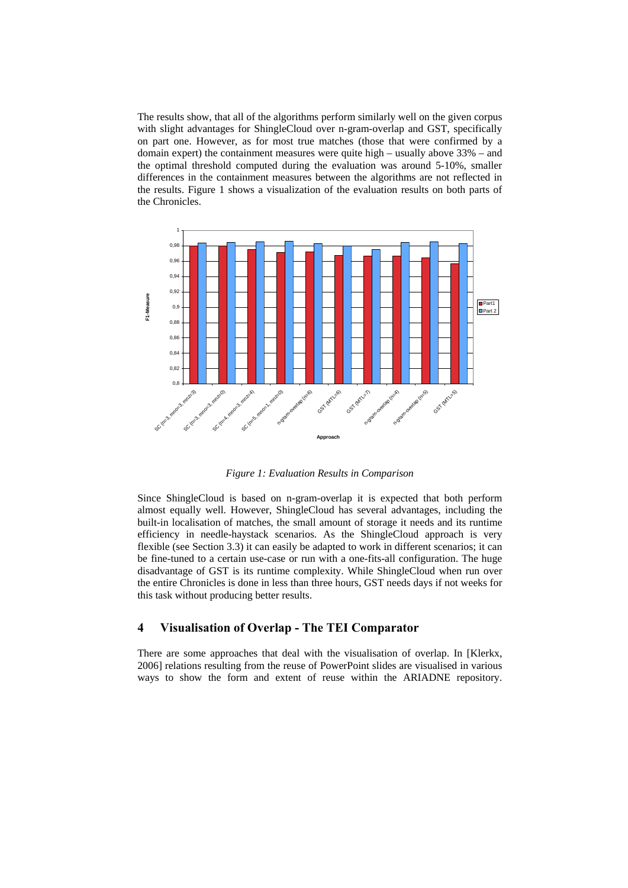The results show, that all of the algorithms perform similarly well on the given corpus with slight advantages for ShingleCloud over n-gram-overlap and GST, specifically on part one. However, as for most true matches (those that were confirmed by a domain expert) the containment measures were quite high – usually above 33% – and the optimal threshold computed during the evaluation was around 5-10%, smaller differences in the containment measures between the algorithms are not reflected in the results. Figure 1 shows a visualization of the evaluation results on both parts of the Chronicles.



*Figure 1: Evaluation Results in Comparison* 

Since ShingleCloud is based on n-gram-overlap it is expected that both perform almost equally well. However, ShingleCloud has several advantages, including the built-in localisation of matches, the small amount of storage it needs and its runtime efficiency in needle-haystack scenarios. As the ShingleCloud approach is very flexible (see Section 3.3) it can easily be adapted to work in different scenarios; it can be fine-tuned to a certain use-case or run with a one-fits-all configuration. The huge disadvantage of GST is its runtime complexity. While ShingleCloud when run over the entire Chronicles is done in less than three hours, GST needs days if not weeks for this task without producing better results.

# **4 Visualisation of Overlap - The TEI Comparator**

There are some approaches that deal with the visualisation of overlap. In [Klerkx, 2006] relations resulting from the reuse of PowerPoint slides are visualised in various ways to show the form and extent of reuse within the ARIADNE repository.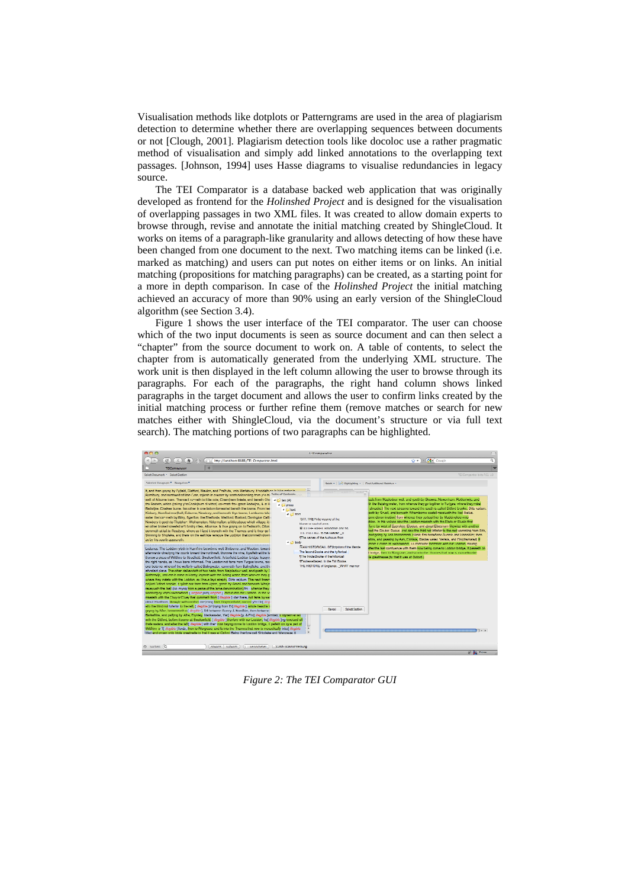Visualisation methods like dotplots or Patterngrams are used in the area of plagiarism detection to determine whether there are overlapping sequences between documents or not [Clough, 2001]. Plagiarism detection tools like docoloc use a rather pragmatic method of visualisation and simply add linked annotations to the overlapping text passages. [Johnson, 1994] uses Hasse diagrams to visualise redundancies in legacy source.

The TEI Comparator is a database backed web application that was originally developed as frontend for the *Holinshed Project* and is designed for the visualisation of overlapping passages in two XML files. It was created to allow domain experts to browse through, revise and annotate the initial matching created by ShingleCloud. It works on items of a paragraph-like granularity and allows detecting of how these have been changed from one document to the next. Two matching items can be linked (i.e. marked as matching) and users can put notes on either items or on links. An initial matching (propositions for matching paragraphs) can be created, as a starting point for a more in depth comparison. In case of the *Holinshed Project* the initial matching achieved an accuracy of more than 90% using an early version of the ShingleCloud algorithm (see Section 3.4).

Figure 1 shows the user interface of the TEI comparator. The user can choose which of the two input documents is seen as source document and can then select a "chapter" from the source document to work on. A table of contents, to select the chapter from is automatically generated from the underlying XML structure. The work unit is then displayed in the left column allowing the user to browse through its paragraphs. For each of the paragraphs, the right hand column shows linked paragraphs in the target document and allows the user to confirm links created by the initial matching process or further refine them (remove matches or search for new matches either with ShingleCloud, via the document's structure or via full text search). The matching portions of two paragraphs can be highlighted.



*Figure 2: The TEI Comparator GUI*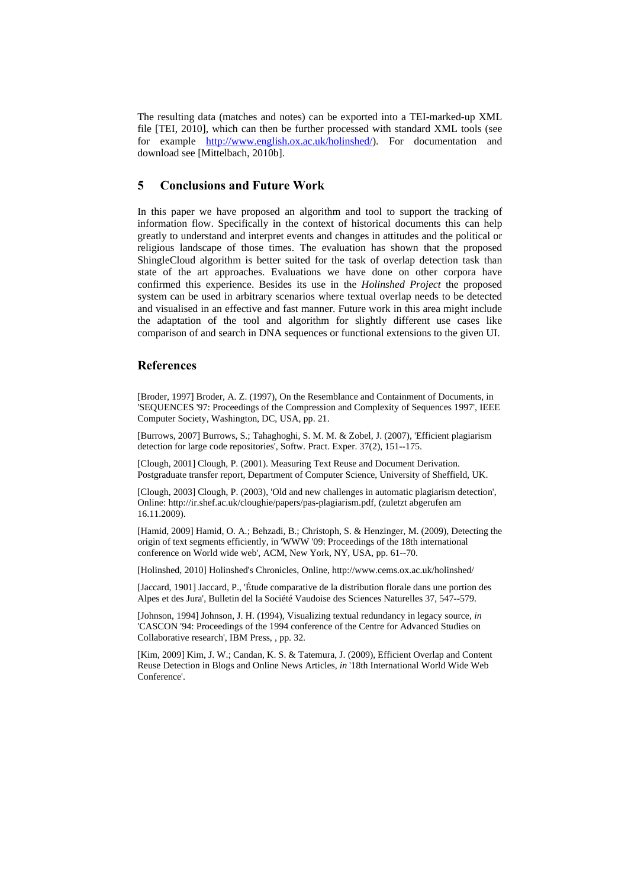The resulting data (matches and notes) can be exported into a TEI-marked-up XML file [TEI, 2010], which can then be further processed with standard XML tools (see for example http://www.english.ox.ac.uk/holinshed/). For documentation and download see [Mittelbach, 2010b].

# **5 Conclusions and Future Work**

In this paper we have proposed an algorithm and tool to support the tracking of information flow. Specifically in the context of historical documents this can help greatly to understand and interpret events and changes in attitudes and the political or religious landscape of those times. The evaluation has shown that the proposed ShingleCloud algorithm is better suited for the task of overlap detection task than state of the art approaches. Evaluations we have done on other corpora have confirmed this experience. Besides its use in the *Holinshed Project* the proposed system can be used in arbitrary scenarios where textual overlap needs to be detected and visualised in an effective and fast manner. Future work in this area might include the adaptation of the tool and algorithm for slightly different use cases like comparison of and search in DNA sequences or functional extensions to the given UI.

# **References**

[Broder, 1997] Broder, A. Z. (1997), On the Resemblance and Containment of Documents, in 'SEQUENCES '97: Proceedings of the Compression and Complexity of Sequences 1997', IEEE Computer Society, Washington, DC, USA, pp. 21.

[Burrows, 2007] Burrows, S.; Tahaghoghi, S. M. M. & Zobel, J. (2007), 'Efficient plagiarism detection for large code repositories', Softw. Pract. Exper. 37(2), 151--175.

[Clough, 2001] Clough, P. (2001). Measuring Text Reuse and Document Derivation. Postgraduate transfer report, Department of Computer Science, University of Sheffield, UK.

[Clough, 2003] Clough, P. (2003), 'Old and new challenges in automatic plagiarism detection', Online: http://ir.shef.ac.uk/cloughie/papers/pas-plagiarism.pdf, (zuletzt abgerufen am 16.11.2009).

[Hamid, 2009] Hamid, O. A.; Behzadi, B.; Christoph, S. & Henzinger, M. (2009), Detecting the origin of text segments efficiently, in 'WWW '09: Proceedings of the 18th international conference on World wide web', ACM, New York, NY, USA, pp. 61--70.

[Holinshed, 2010] Holinshed's Chronicles, Online, http://www.cems.ox.ac.uk/holinshed/

[Jaccard, 1901] Jaccard, P., 'Étude comparative de la distribution florale dans une portion des Alpes et des Jura', Bulletin del la Société Vaudoise des Sciences Naturelles 37, 547--579.

[Johnson, 1994] Johnson, J. H. (1994), Visualizing textual redundancy in legacy source, *in*  'CASCON '94: Proceedings of the 1994 conference of the Centre for Advanced Studies on Collaborative research', IBM Press, , pp. 32.

[Kim, 2009] Kim, J. W.; Candan, K. S. & Tatemura, J. (2009), Efficient Overlap and Content Reuse Detection in Blogs and Online News Articles, *in* '18th International World Wide Web Conference'.